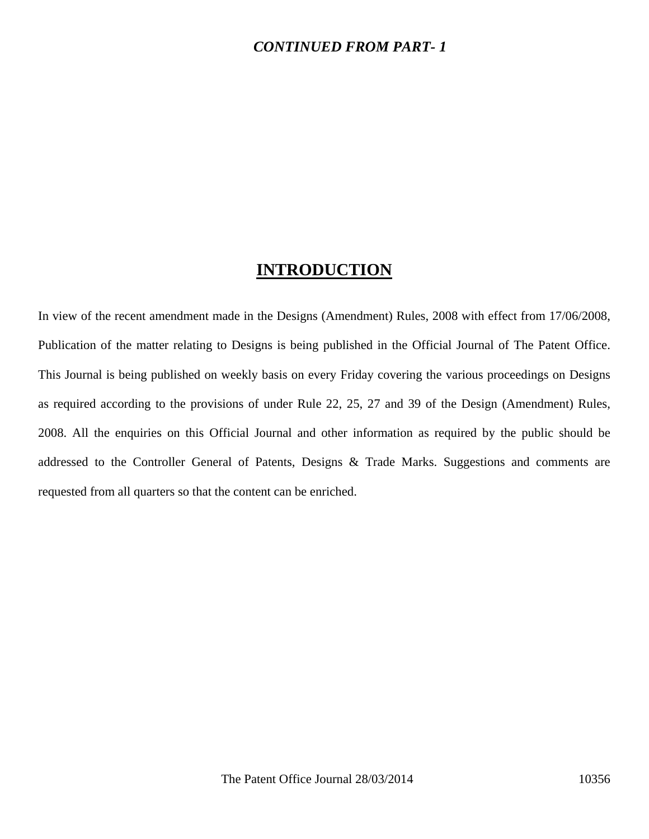## *CONTINUED FROM PART- 1*

## **INTRODUCTION**

In view of the recent amendment made in the Designs (Amendment) Rules, 2008 with effect from 17/06/2008, Publication of the matter relating to Designs is being published in the Official Journal of The Patent Office. This Journal is being published on weekly basis on every Friday covering the various proceedings on Designs as required according to the provisions of under Rule 22, 25, 27 and 39 of the Design (Amendment) Rules, 2008. All the enquiries on this Official Journal and other information as required by the public should be addressed to the Controller General of Patents, Designs & Trade Marks. Suggestions and comments are requested from all quarters so that the content can be enriched.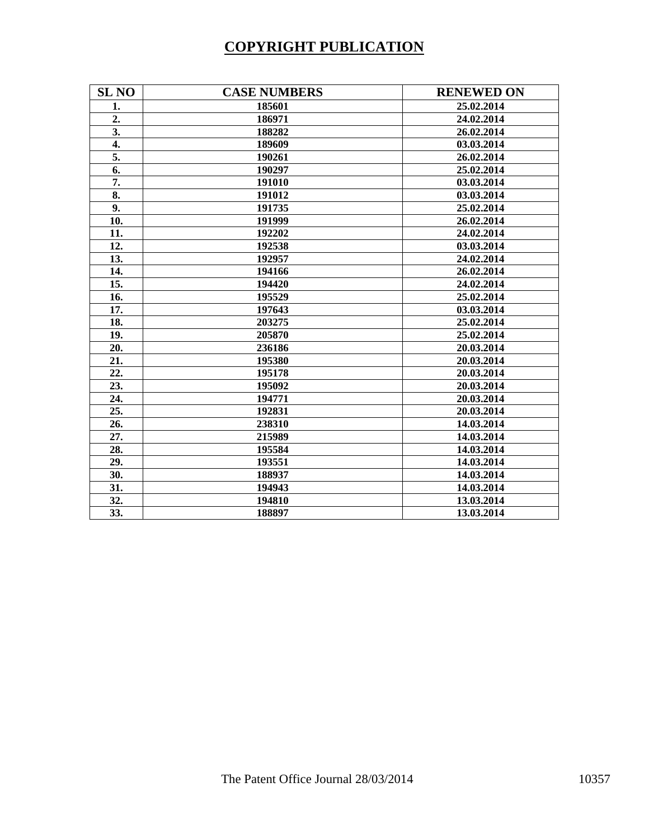# **COPYRIGHT PUBLICATION**

| <b>SL NO</b>     | <b>CASE NUMBERS</b> | <b>RENEWED ON</b> |
|------------------|---------------------|-------------------|
| 1.               | 185601              | 25.02.2014        |
| 2.               | 186971              | 24.02.2014        |
| $\overline{3}$ . | 188282              | 26.02.2014        |
| 4.               | 189609              | 03.03.2014        |
| 5.               | 190261              | 26.02.2014        |
| 6.               | 190297              | 25.02.2014        |
| 7.               | 191010              | 03.03.2014        |
| 8.               | 191012              | 03.03.2014        |
| 9.               | 191735              | 25.02.2014        |
| 10.              | 191999              | 26.02.2014        |
| 11.              | 192202              | 24.02.2014        |
| 12.              | 192538              | 03.03.2014        |
| 13.              | 192957              | 24.02.2014        |
| 14.              | 194166              | 26.02.2014        |
| 15.              | 194420              | 24.02.2014        |
| 16.              | 195529              | 25.02.2014        |
| 17.              | 197643              | 03.03.2014        |
| 18.              | 203275              | 25.02.2014        |
| 19.              | 205870              | 25.02.2014        |
| 20.              | 236186              | 20.03.2014        |
| 21.              | 195380              | 20.03.2014        |
| 22.              | 195178              | 20.03.2014        |
| 23.              | 195092              | 20.03.2014        |
| 24.              | 194771              | 20.03.2014        |
| 25.              | 192831              | 20.03.2014        |
| 26.              | 238310              | 14.03.2014        |
| 27.              | 215989              | 14.03.2014        |
| 28.              | 195584              | 14.03.2014        |
| 29.              | 193551              | 14.03.2014        |
| 30.              | 188937              | 14.03.2014        |
| 31.              | 194943              | 14.03.2014        |
| 32.              | 194810              | 13.03.2014        |
| 33.              | 188897              | 13.03.2014        |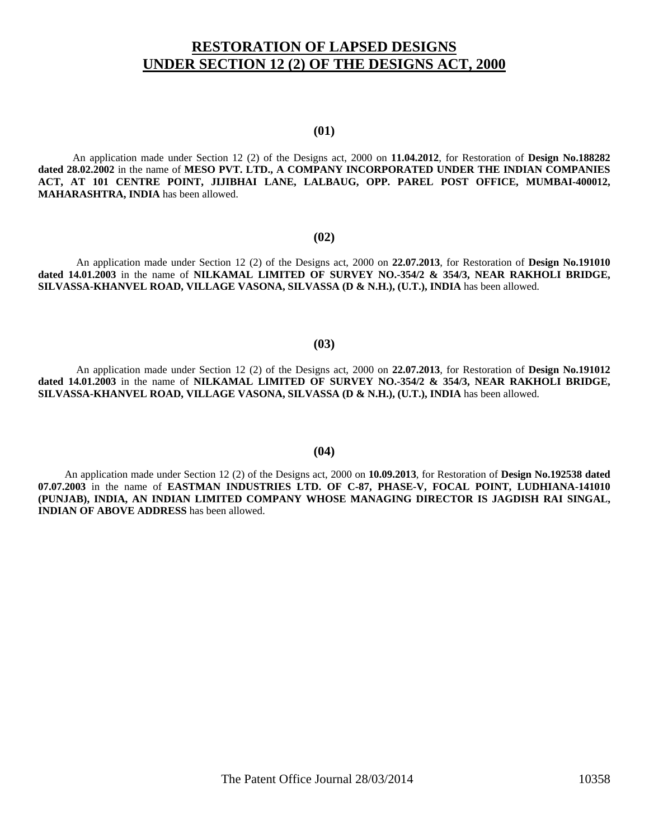## **RESTORATION OF LAPSED DESIGNS UNDER SECTION 12 (2) OF THE DESIGNS ACT, 2000**

### **(01)**

 An application made under Section 12 (2) of the Designs act, 2000 on **11.04.2012**, for Restoration of **Design No.188282 dated 28.02.2002** in the name of **MESO PVT. LTD., A COMPANY INCORPORATED UNDER THE INDIAN COMPANIES ACT, AT 101 CENTRE POINT, JIJIBHAI LANE, LALBAUG, OPP. PAREL POST OFFICE, MUMBAI-400012, MAHARASHTRA, INDIA** has been allowed.

#### **(02)**

An application made under Section 12 (2) of the Designs act, 2000 on **22.07.2013**, for Restoration of **Design No.191010 dated 14.01.2003** in the name of **NILKAMAL LIMITED OF SURVEY NO.-354/2 & 354/3, NEAR RAKHOLI BRIDGE, SILVASSA-KHANVEL ROAD, VILLAGE VASONA, SILVASSA (D & N.H.), (U.T.), INDIA** has been allowed.

### **(03)**

An application made under Section 12 (2) of the Designs act, 2000 on **22.07.2013**, for Restoration of **Design No.191012 dated 14.01.2003** in the name of **NILKAMAL LIMITED OF SURVEY NO.-354/2 & 354/3, NEAR RAKHOLI BRIDGE, SILVASSA-KHANVEL ROAD, VILLAGE VASONA, SILVASSA (D & N.H.), (U.T.), INDIA** has been allowed.

### **(04)**

 An application made under Section 12 (2) of the Designs act, 2000 on **10.09.2013**, for Restoration of **Design No.192538 dated 07.07.2003** in the name of **EASTMAN INDUSTRIES LTD. OF C-87, PHASE-V, FOCAL POINT, LUDHIANA-141010 (PUNJAB), INDIA, AN INDIAN LIMITED COMPANY WHOSE MANAGING DIRECTOR IS JAGDISH RAI SINGAL, INDIAN OF ABOVE ADDRESS** has been allowed.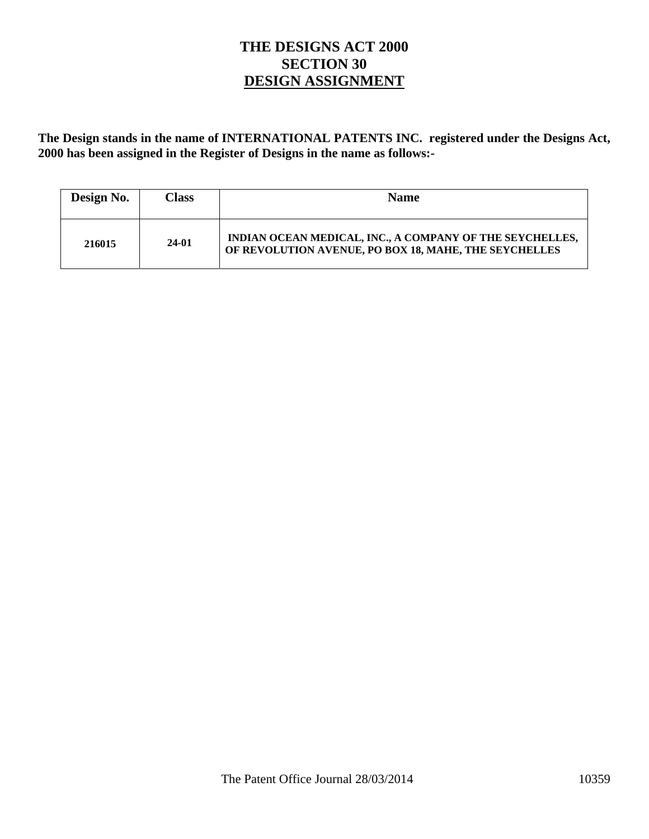## **THE DESIGNS ACT 2000 SECTION 30 DESIGN ASSIGNMENT**

**The Design stands in the name of INTERNATIONAL PATENTS INC. registered under the Designs Act, 2000 has been assigned in the Register of Designs in the name as follows:-** 

| Design No. | <b>Class</b> | <b>Name</b>                                                                                                       |
|------------|--------------|-------------------------------------------------------------------------------------------------------------------|
| 216015     | 24-01        | INDIAN OCEAN MEDICAL, INC., A COMPANY OF THE SEYCHELLES,<br>OF REVOLUTION AVENUE, PO BOX 18, MAHE, THE SEYCHELLES |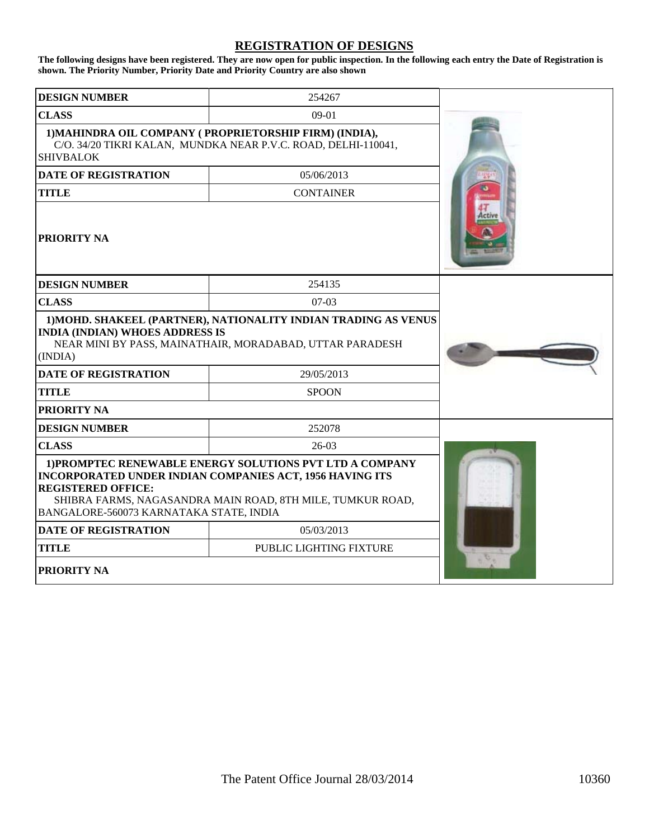### **REGISTRATION OF DESIGNS**

**The following designs have been registered. They are now open for public inspection. In the following each entry the Date of Registration is shown. The Priority Number, Priority Date and Priority Country are also shown**

| <b>DESIGN NUMBER</b>                                                                                                                                                                                                                                              | 254267                                                                                                                   |  |
|-------------------------------------------------------------------------------------------------------------------------------------------------------------------------------------------------------------------------------------------------------------------|--------------------------------------------------------------------------------------------------------------------------|--|
| <b>CLASS</b>                                                                                                                                                                                                                                                      | $09-01$                                                                                                                  |  |
| <b>SHIVBALOK</b>                                                                                                                                                                                                                                                  | 1) MAHINDRA OIL COMPANY (PROPRIETORSHIP FIRM) (INDIA),<br>C/O. 34/20 TIKRI KALAN, MUNDKA NEAR P.V.C. ROAD, DELHI-110041, |  |
| <b>DATE OF REGISTRATION</b>                                                                                                                                                                                                                                       | 05/06/2013                                                                                                               |  |
| <b>TITLE</b>                                                                                                                                                                                                                                                      | <b>CONTAINER</b>                                                                                                         |  |
| PRIORITY NA                                                                                                                                                                                                                                                       |                                                                                                                          |  |
| <b>DESIGN NUMBER</b>                                                                                                                                                                                                                                              | 254135                                                                                                                   |  |
| <b>CLASS</b>                                                                                                                                                                                                                                                      | $07-03$                                                                                                                  |  |
| 1) MOHD. SHAKEEL (PARTNER), NATIONALITY INDIAN TRADING AS VENUS<br><b>INDIA (INDIAN) WHOES ADDRESS IS</b><br>NEAR MINI BY PASS, MAINATHAIR, MORADABAD, UTTAR PARADESH<br>(INDIA)                                                                                  |                                                                                                                          |  |
| <b>DATE OF REGISTRATION</b>                                                                                                                                                                                                                                       | 29/05/2013                                                                                                               |  |
| <b>TITLE</b>                                                                                                                                                                                                                                                      | <b>SPOON</b>                                                                                                             |  |
| PRIORITY NA                                                                                                                                                                                                                                                       |                                                                                                                          |  |
| <b>DESIGN NUMBER</b>                                                                                                                                                                                                                                              | 252078                                                                                                                   |  |
| <b>CLASS</b>                                                                                                                                                                                                                                                      | $26-03$                                                                                                                  |  |
| 1) PROMPTEC RENEWABLE ENERGY SOLUTIONS PVT LTD A COMPANY<br><b>INCORPORATED UNDER INDIAN COMPANIES ACT, 1956 HAVING ITS</b><br><b>REGISTERED OFFICE:</b><br>SHIBRA FARMS, NAGASANDRA MAIN ROAD, 8TH MILE, TUMKUR ROAD,<br>BANGALORE-560073 KARNATAKA STATE, INDIA |                                                                                                                          |  |
| <b>DATE OF REGISTRATION</b><br>05/03/2013                                                                                                                                                                                                                         |                                                                                                                          |  |
| <b>TITLE</b>                                                                                                                                                                                                                                                      | PUBLIC LIGHTING FIXTURE                                                                                                  |  |
| <b>PRIORITY NA</b>                                                                                                                                                                                                                                                |                                                                                                                          |  |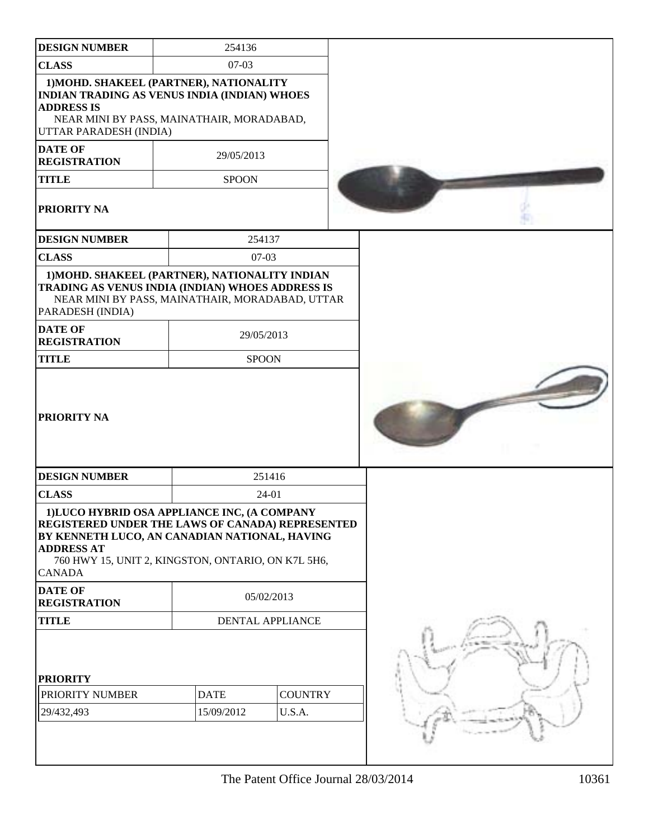| <b>DESIGN NUMBER</b>                                      |                                                                                                                                                                                                        |  |
|-----------------------------------------------------------|--------------------------------------------------------------------------------------------------------------------------------------------------------------------------------------------------------|--|
|                                                           | 254136                                                                                                                                                                                                 |  |
| <b>CLASS</b>                                              | $07-03$                                                                                                                                                                                                |  |
| <b>ADDRESS IS</b><br>UTTAR PARADESH (INDIA)               | 1) MOHD. SHAKEEL (PARTNER), NATIONALITY<br><b>INDIAN TRADING AS VENUS INDIA (INDIAN) WHOES</b><br>NEAR MINI BY PASS, MAINATHAIR, MORADABAD,                                                            |  |
| <b>DATE OF</b><br><b>REGISTRATION</b>                     | 29/05/2013                                                                                                                                                                                             |  |
| <b>TITLE</b>                                              | <b>SPOON</b>                                                                                                                                                                                           |  |
| PRIORITY NA                                               |                                                                                                                                                                                                        |  |
| <b>DESIGN NUMBER</b>                                      | 254137                                                                                                                                                                                                 |  |
| <b>CLASS</b>                                              | $07-03$                                                                                                                                                                                                |  |
| PARADESH (INDIA)<br><b>DATE OF</b><br><b>REGISTRATION</b> | 1) MOHD. SHAKEEL (PARTNER), NATIONALITY INDIAN<br>TRADING AS VENUS INDIA (INDIAN) WHOES ADDRESS IS<br>NEAR MINI BY PASS, MAINATHAIR, MORADABAD, UTTAR<br>29/05/2013                                    |  |
| <b>TITLE</b>                                              | <b>SPOON</b>                                                                                                                                                                                           |  |
| <b>PRIORITY NA</b>                                        |                                                                                                                                                                                                        |  |
| <b>DESIGN NUMBER</b>                                      | 251416                                                                                                                                                                                                 |  |
|                                                           |                                                                                                                                                                                                        |  |
| <b>CLASS</b>                                              | 24-01                                                                                                                                                                                                  |  |
| <b>ADDRESS AT</b><br><b>CANADA</b>                        | 1)LUCO HYBRID OSA APPLIANCE INC, (A COMPANY<br>REGISTERED UNDER THE LAWS OF CANADA) REPRESENTED<br>BY KENNETH LUCO, AN CANADIAN NATIONAL, HAVING<br>760 HWY 15, UNIT 2, KINGSTON, ONTARIO, ON K7L 5H6, |  |
| <b>DATE OF</b><br><b>REGISTRATION</b>                     | 05/02/2013                                                                                                                                                                                             |  |
| <b>TITLE</b>                                              | <b>DENTAL APPLIANCE</b>                                                                                                                                                                                |  |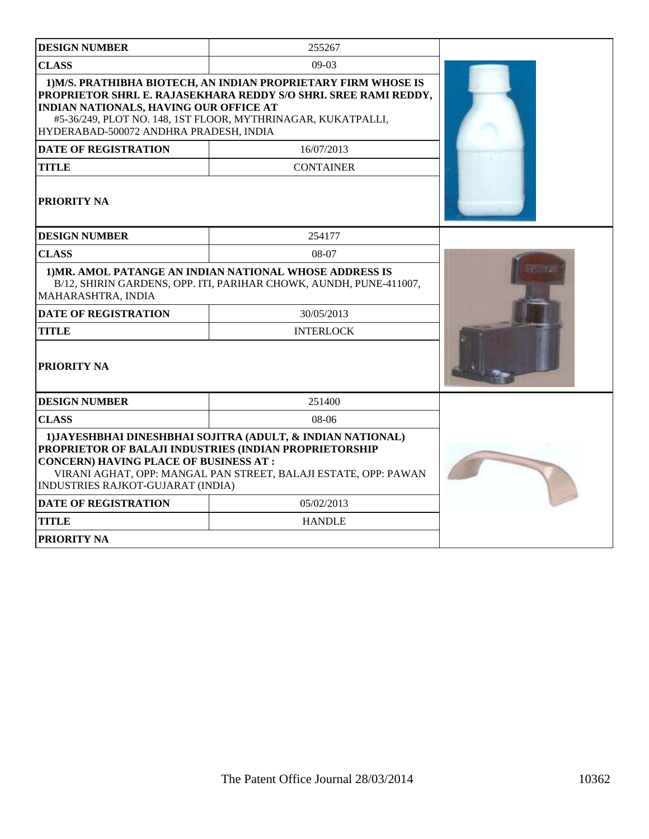| <b>DESIGN NUMBER</b>                                                                                                                                                                                                                                                          | 255267                                                                                                                                                                                             |  |
|-------------------------------------------------------------------------------------------------------------------------------------------------------------------------------------------------------------------------------------------------------------------------------|----------------------------------------------------------------------------------------------------------------------------------------------------------------------------------------------------|--|
| <b>CLASS</b>                                                                                                                                                                                                                                                                  | $09-03$                                                                                                                                                                                            |  |
| <b>INDIAN NATIONALS, HAVING OUR OFFICE AT</b><br>HYDERABAD-500072 ANDHRA PRADESH, INDIA                                                                                                                                                                                       | 1) M/S. PRATHIBHA BIOTECH, AN INDIAN PROPRIETARY FIRM WHOSE IS<br>PROPRIETOR SHRI. E. RAJASEKHARA REDDY S/O SHRI. SREE RAMI REDDY,<br>#5-36/249, PLOT NO. 148, 1ST FLOOR, MYTHRINAGAR, KUKATPALLI, |  |
| <b>DATE OF REGISTRATION</b>                                                                                                                                                                                                                                                   |                                                                                                                                                                                                    |  |
| <b>TITLE</b>                                                                                                                                                                                                                                                                  | <b>CONTAINER</b>                                                                                                                                                                                   |  |
| <b>PRIORITY NA</b>                                                                                                                                                                                                                                                            |                                                                                                                                                                                                    |  |
| <b>DESIGN NUMBER</b>                                                                                                                                                                                                                                                          | 254177                                                                                                                                                                                             |  |
| <b>CLASS</b>                                                                                                                                                                                                                                                                  | 08-07                                                                                                                                                                                              |  |
| MAHARASHTRA, INDIA                                                                                                                                                                                                                                                            | 1) MR. AMOL PATANGE AN INDIAN NATIONAL WHOSE ADDRESS IS<br>B/12, SHIRIN GARDENS, OPP. ITI, PARIHAR CHOWK, AUNDH, PUNE-411007,                                                                      |  |
| <b>DATE OF REGISTRATION</b>                                                                                                                                                                                                                                                   | 30/05/2013                                                                                                                                                                                         |  |
| <b>TITLE</b>                                                                                                                                                                                                                                                                  | <b>INTERLOCK</b>                                                                                                                                                                                   |  |
| PRIORITY NA                                                                                                                                                                                                                                                                   |                                                                                                                                                                                                    |  |
| <b>DESIGN NUMBER</b>                                                                                                                                                                                                                                                          | 251400                                                                                                                                                                                             |  |
| <b>CLASS</b>                                                                                                                                                                                                                                                                  | $08-06$                                                                                                                                                                                            |  |
| 1) JAYESHBHAI DINESHBHAI SOJITRA (ADULT, & INDIAN NATIONAL)<br>PROPRIETOR OF BALAJI INDUSTRIES (INDIAN PROPRIETORSHIP<br><b>CONCERN) HAVING PLACE OF BUSINESS AT:</b><br>VIRANI AGHAT, OPP: MANGAL PAN STREET, BALAJI ESTATE, OPP: PAWAN<br>INDUSTRIES RAJKOT-GUJARAT (INDIA) |                                                                                                                                                                                                    |  |
| <b>DATE OF REGISTRATION</b>                                                                                                                                                                                                                                                   | 05/02/2013                                                                                                                                                                                         |  |
| <b>TITLE</b>                                                                                                                                                                                                                                                                  | <b>HANDLE</b>                                                                                                                                                                                      |  |
| PRIORITY NA                                                                                                                                                                                                                                                                   |                                                                                                                                                                                                    |  |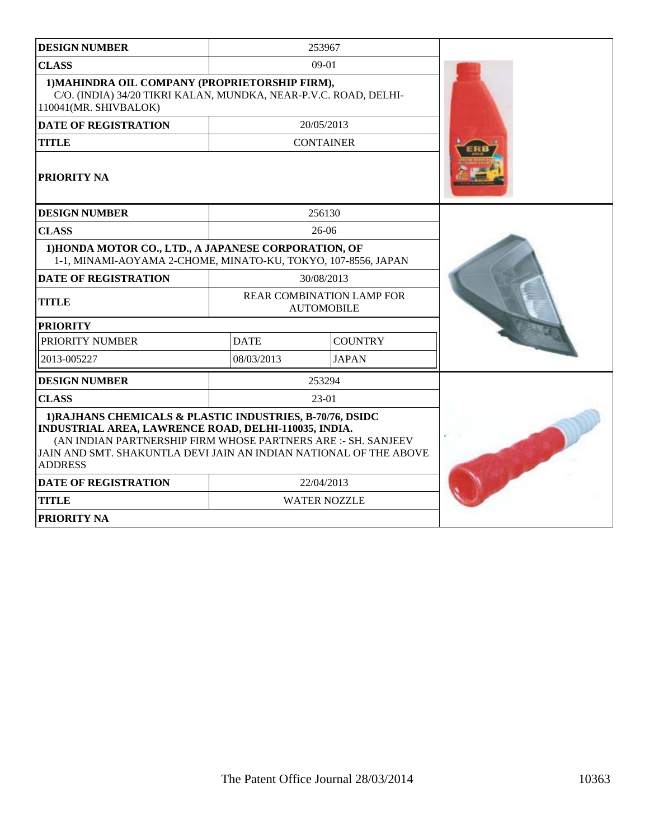| <b>DESIGN NUMBER</b>                                                                                                                                                                                                                                                      |             | 253967                                                |  |
|---------------------------------------------------------------------------------------------------------------------------------------------------------------------------------------------------------------------------------------------------------------------------|-------------|-------------------------------------------------------|--|
| <b>CLASS</b>                                                                                                                                                                                                                                                              |             | $09-01$                                               |  |
| 1) MAHINDRA OIL COMPANY (PROPRIETORSHIP FIRM),<br>C/O. (INDIA) 34/20 TIKRI KALAN, MUNDKA, NEAR-P.V.C. ROAD, DELHI-<br>110041(MR. SHIVBALOK)                                                                                                                               |             |                                                       |  |
| <b>DATE OF REGISTRATION</b>                                                                                                                                                                                                                                               | 20/05/2013  |                                                       |  |
| <b>TITLE</b>                                                                                                                                                                                                                                                              |             | <b>CONTAINER</b>                                      |  |
| PRIORITY NA                                                                                                                                                                                                                                                               |             |                                                       |  |
| <b>DESIGN NUMBER</b>                                                                                                                                                                                                                                                      |             | 256130                                                |  |
| <b>CLASS</b>                                                                                                                                                                                                                                                              |             | 26-06                                                 |  |
| 1) HONDA MOTOR CO., LTD., A JAPANESE CORPORATION, OF<br>1-1, MINAMI-AOYAMA 2-CHOME, MINATO-KU, TOKYO, 107-8556, JAPAN                                                                                                                                                     |             |                                                       |  |
| <b>DATE OF REGISTRATION</b>                                                                                                                                                                                                                                               |             | 30/08/2013                                            |  |
| <b>TITLE</b>                                                                                                                                                                                                                                                              |             | <b>REAR COMBINATION LAMP FOR</b><br><b>AUTOMOBILE</b> |  |
| <b>PRIORITY</b>                                                                                                                                                                                                                                                           |             |                                                       |  |
| PRIORITY NUMBER                                                                                                                                                                                                                                                           | <b>DATE</b> | <b>COUNTRY</b>                                        |  |
| 2013-005227                                                                                                                                                                                                                                                               | 08/03/2013  | <b>JAPAN</b>                                          |  |
| <b>DESIGN NUMBER</b>                                                                                                                                                                                                                                                      |             | 253294                                                |  |
| <b>CLASS</b>                                                                                                                                                                                                                                                              |             | 23-01                                                 |  |
| 1) RAJHANS CHEMICALS & PLASTIC INDUSTRIES, B-70/76, DSIDC<br>INDUSTRIAL AREA, LAWRENCE ROAD, DELHI-110035, INDIA.<br>(AN INDIAN PARTNERSHIP FIRM WHOSE PARTNERS ARE :- SH. SANJEEV<br>JAIN AND SMT. SHAKUNTLA DEVI JAIN AN INDIAN NATIONAL OF THE ABOVE<br><b>ADDRESS</b> |             |                                                       |  |
| 22/04/2013<br><b>DATE OF REGISTRATION</b>                                                                                                                                                                                                                                 |             |                                                       |  |
| <b>TITLE</b>                                                                                                                                                                                                                                                              |             | <b>WATER NOZZLE</b>                                   |  |
| PRIORITY NA                                                                                                                                                                                                                                                               |             |                                                       |  |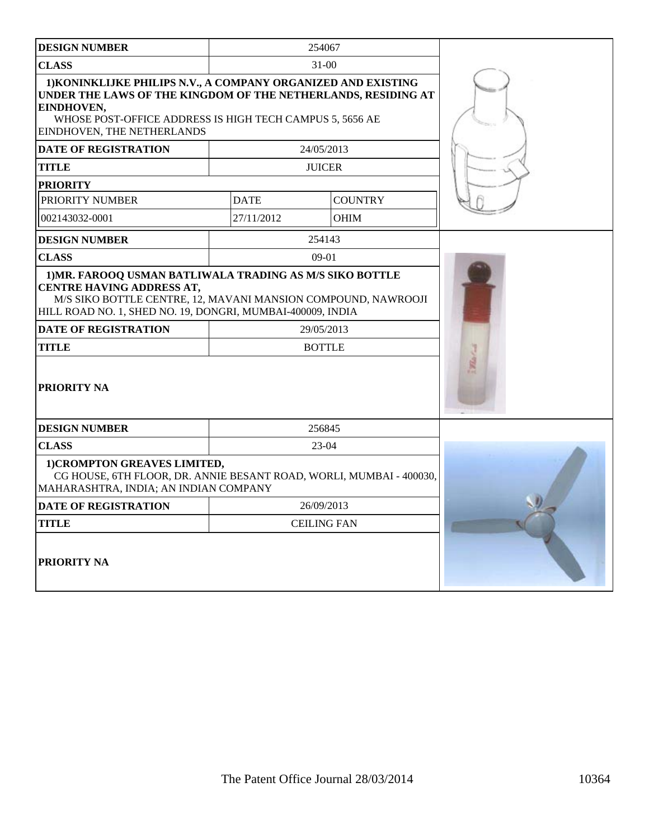| <b>DESIGN NUMBER</b>                                                                                                                                                                                                                                                                                      |                    | 254067         |  |
|-----------------------------------------------------------------------------------------------------------------------------------------------------------------------------------------------------------------------------------------------------------------------------------------------------------|--------------------|----------------|--|
| <b>CLASS</b>                                                                                                                                                                                                                                                                                              |                    |                |  |
| 1) KONINKLIJKE PHILIPS N.V., A COMPANY ORGANIZED AND EXISTING<br>UNDER THE LAWS OF THE KINGDOM OF THE NETHERLANDS, RESIDING AT<br>EINDHOVEN,<br>WHOSE POST-OFFICE ADDRESS IS HIGH TECH CAMPUS 5, 5656 AE<br>EINDHOVEN, THE NETHERLANDS                                                                    |                    |                |  |
| <b>DATE OF REGISTRATION</b>                                                                                                                                                                                                                                                                               |                    | 24/05/2013     |  |
| <b>TITLE</b>                                                                                                                                                                                                                                                                                              |                    | <b>JUICER</b>  |  |
| <b>PRIORITY</b>                                                                                                                                                                                                                                                                                           |                    |                |  |
| PRIORITY NUMBER                                                                                                                                                                                                                                                                                           | <b>DATE</b>        | <b>COUNTRY</b> |  |
| 002143032-0001                                                                                                                                                                                                                                                                                            | 27/11/2012         | <b>OHIM</b>    |  |
| <b>DESIGN NUMBER</b>                                                                                                                                                                                                                                                                                      |                    | 254143         |  |
| <b>CLASS</b>                                                                                                                                                                                                                                                                                              |                    | $09-01$        |  |
| 1) MR. FAROOQ USMAN BATLIWALA TRADING AS M/S SIKO BOTTLE<br><b>CENTRE HAVING ADDRESS AT,</b><br>M/S SIKO BOTTLE CENTRE, 12, MAVANI MANSION COMPOUND, NAWROOJI<br>HILL ROAD NO. 1, SHED NO. 19, DONGRI, MUMBAI-400009, INDIA<br><b>DATE OF REGISTRATION</b><br>29/05/2013<br><b>TITLE</b><br><b>BOTTLE</b> |                    |                |  |
| <b>PRIORITY NA</b><br><b>DESIGN NUMBER</b>                                                                                                                                                                                                                                                                |                    | 256845         |  |
| <b>CLASS</b>                                                                                                                                                                                                                                                                                              |                    | 23-04          |  |
| 1) CROMPTON GREAVES LIMITED,<br>CG HOUSE, 6TH FLOOR, DR. ANNIE BESANT ROAD, WORLI, MUMBAI - 400030,<br>MAHARASHTRA, INDIA; AN INDIAN COMPANY                                                                                                                                                              |                    |                |  |
| <b>DATE OF REGISTRATION</b>                                                                                                                                                                                                                                                                               | 26/09/2013         |                |  |
| <b>TITLE</b>                                                                                                                                                                                                                                                                                              | <b>CEILING FAN</b> |                |  |
| PRIORITY NA                                                                                                                                                                                                                                                                                               |                    |                |  |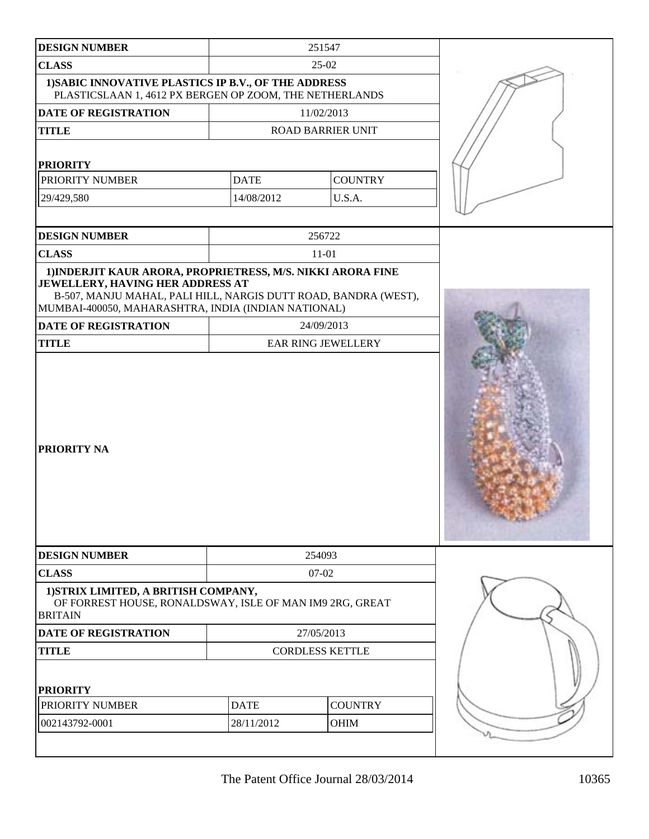| <b>DESIGN NUMBER</b>                                                                                                                                                                                                             |                          | 251547             |  |
|----------------------------------------------------------------------------------------------------------------------------------------------------------------------------------------------------------------------------------|--------------------------|--------------------|--|
| <b>CLASS</b>                                                                                                                                                                                                                     |                          |                    |  |
| 1) SABIC INNOVATIVE PLASTICS IP B.V., OF THE ADDRESS<br>PLASTICSLAAN 1, 4612 PX BERGEN OP ZOOM, THE NETHERLANDS                                                                                                                  |                          |                    |  |
| <b>DATE OF REGISTRATION</b>                                                                                                                                                                                                      |                          | 11/02/2013         |  |
| <b>TITLE</b>                                                                                                                                                                                                                     | <b>ROAD BARRIER UNIT</b> |                    |  |
| <b>PRIORITY</b>                                                                                                                                                                                                                  |                          |                    |  |
| PRIORITY NUMBER                                                                                                                                                                                                                  | <b>DATE</b>              | <b>COUNTRY</b>     |  |
| 29/429,580                                                                                                                                                                                                                       | 14/08/2012               | U.S.A.             |  |
|                                                                                                                                                                                                                                  |                          |                    |  |
| <b>DESIGN NUMBER</b>                                                                                                                                                                                                             |                          | 256722             |  |
| <b>CLASS</b>                                                                                                                                                                                                                     |                          | $11 - 01$          |  |
| 1) INDERJIT KAUR ARORA, PROPRIETRESS, M/S. NIKKI ARORA FINE<br><b>JEWELLERY, HAVING HER ADDRESS AT</b><br>B-507, MANJU MAHAL, PALI HILL, NARGIS DUTT ROAD, BANDRA (WEST),<br>MUMBAI-400050, MAHARASHTRA, INDIA (INDIAN NATIONAL) |                          |                    |  |
| DATE OF REGISTRATION                                                                                                                                                                                                             |                          | 24/09/2013         |  |
| <b>TITLE</b>                                                                                                                                                                                                                     |                          | EAR RING JEWELLERY |  |
| <b>PRIORITY NA</b>                                                                                                                                                                                                               |                          |                    |  |
| <b>DESIGN NUMBER</b>                                                                                                                                                                                                             |                          | 254093             |  |
| <b>CLASS</b>                                                                                                                                                                                                                     |                          | 07-02              |  |
| 1) STRIX LIMITED, A BRITISH COMPANY,<br>OF FORREST HOUSE, RONALDSWAY, ISLE OF MAN IM9 2RG, GREAT<br><b>BRITAIN</b>                                                                                                               |                          |                    |  |
| <b>DATE OF REGISTRATION</b>                                                                                                                                                                                                      |                          | 27/05/2013         |  |
| <b>TITLE</b>                                                                                                                                                                                                                     | <b>CORDLESS KETTLE</b>   |                    |  |
| <b>PRIORITY</b>                                                                                                                                                                                                                  |                          |                    |  |
| PRIORITY NUMBER                                                                                                                                                                                                                  | <b>DATE</b>              | <b>COUNTRY</b>     |  |
| 002143792-0001                                                                                                                                                                                                                   | 28/11/2012               | OHIM               |  |
|                                                                                                                                                                                                                                  |                          |                    |  |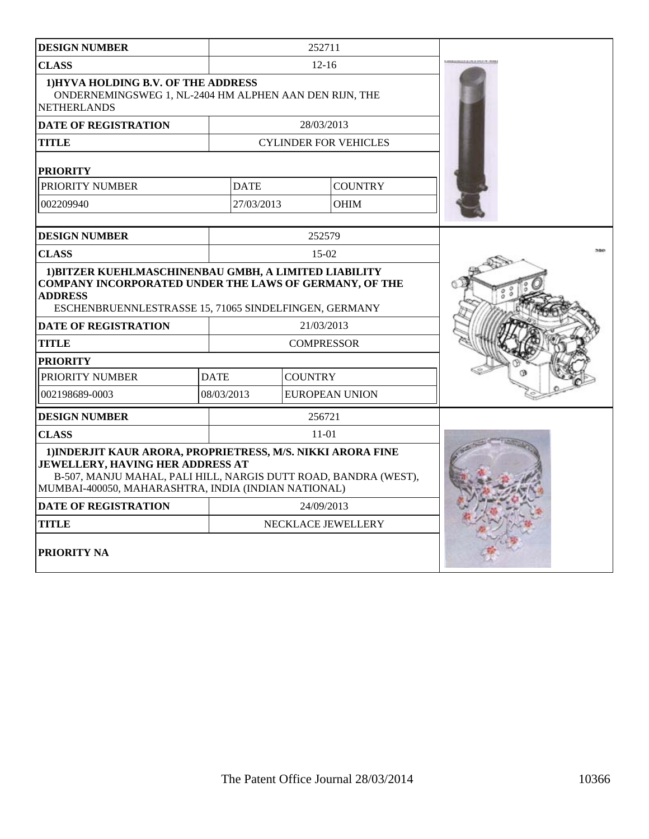| <b>DESIGN NUMBER</b>                                                                                                                                                                                                                                     | 252711                              |            |                              |  |
|----------------------------------------------------------------------------------------------------------------------------------------------------------------------------------------------------------------------------------------------------------|-------------------------------------|------------|------------------------------|--|
| <b>CLASS</b>                                                                                                                                                                                                                                             | $12 - 16$                           |            |                              |  |
| 1) HYVA HOLDING B.V. OF THE ADDRESS<br>ONDERNEMINGSWEG 1, NL-2404 HM ALPHEN AAN DEN RIJN, THE<br><b>NETHERLANDS</b>                                                                                                                                      |                                     |            |                              |  |
| <b>DATE OF REGISTRATION</b>                                                                                                                                                                                                                              |                                     | 28/03/2013 |                              |  |
| <b>TITLE</b>                                                                                                                                                                                                                                             |                                     |            | <b>CYLINDER FOR VEHICLES</b> |  |
| <b>PRIORITY</b>                                                                                                                                                                                                                                          |                                     |            |                              |  |
| PRIORITY NUMBER                                                                                                                                                                                                                                          | <b>DATE</b>                         |            | <b>COUNTRY</b>               |  |
| 002209940                                                                                                                                                                                                                                                | 27/03/2013                          |            | <b>OHIM</b>                  |  |
| <b>DESIGN NUMBER</b>                                                                                                                                                                                                                                     |                                     | 252579     |                              |  |
| <b>CLASS</b>                                                                                                                                                                                                                                             |                                     | $15-02$    |                              |  |
| 1) BITZER KUEHLMASCHINENBAU GMBH, A LIMITED LIABILITY<br><b>COMPANY INCORPORATED UNDER THE LAWS OF GERMANY, OF THE</b><br><b>ADDRESS</b><br>ESCHENBRUENNLESTRASSE 15, 71065 SINDELFINGEN, GERMANY<br><b>DATE OF REGISTRATION</b>                         |                                     |            |                              |  |
| <b>TITLE</b>                                                                                                                                                                                                                                             | <b>COMPRESSOR</b>                   |            |                              |  |
| <b>PRIORITY</b>                                                                                                                                                                                                                                          |                                     |            |                              |  |
| PRIORITY NUMBER                                                                                                                                                                                                                                          | <b>COUNTRY</b><br><b>DATE</b>       |            |                              |  |
| 002198689-0003                                                                                                                                                                                                                                           | 08/03/2013<br><b>EUROPEAN UNION</b> |            |                              |  |
| <b>DESIGN NUMBER</b>                                                                                                                                                                                                                                     |                                     | 256721     |                              |  |
| <b>CLASS</b>                                                                                                                                                                                                                                             |                                     | $11-01$    |                              |  |
| 1) INDERJIT KAUR ARORA, PROPRIETRESS, M/S. NIKKI ARORA FINE<br>JEWELLERY, HAVING HER ADDRESS AT<br>B-507, MANJU MAHAL, PALI HILL, NARGIS DUTT ROAD, BANDRA (WEST),<br>MUMBAI-400050, MAHARASHTRA, INDIA (INDIAN NATIONAL)<br><b>DATE OF REGISTRATION</b> |                                     |            |                              |  |
| TITLE                                                                                                                                                                                                                                                    | 24/09/2013<br>NECKLACE JEWELLERY    |            |                              |  |
| <b>PRIORITY NA</b>                                                                                                                                                                                                                                       |                                     |            |                              |  |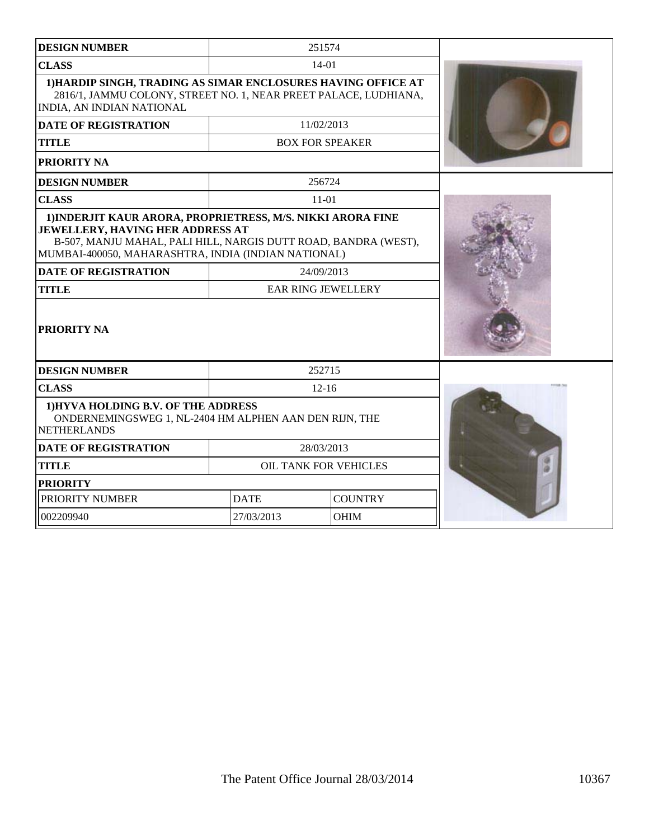| <b>DESIGN NUMBER</b>                                                                                                                                                                                                      |                        | 251574         |  |
|---------------------------------------------------------------------------------------------------------------------------------------------------------------------------------------------------------------------------|------------------------|----------------|--|
| <b>CLASS</b>                                                                                                                                                                                                              | $14 - 01$              |                |  |
| 1) HARDIP SINGH, TRADING AS SIMAR ENCLOSURES HAVING OFFICE AT<br>2816/1, JAMMU COLONY, STREET NO. 1, NEAR PREET PALACE, LUDHIANA,<br>INDIA, AN INDIAN NATIONAL                                                            |                        |                |  |
| <b>DATE OF REGISTRATION</b>                                                                                                                                                                                               |                        |                |  |
| <b>TITLE</b>                                                                                                                                                                                                              | <b>BOX FOR SPEAKER</b> |                |  |
| <b>PRIORITY NA</b>                                                                                                                                                                                                        |                        |                |  |
| <b>DESIGN NUMBER</b>                                                                                                                                                                                                      |                        | 256724         |  |
| <b>CLASS</b>                                                                                                                                                                                                              | $11 - 01$              |                |  |
| 1) INDERJIT KAUR ARORA, PROPRIETRESS, M/S. NIKKI ARORA FINE<br>JEWELLERY, HAVING HER ADDRESS AT<br>B-507, MANJU MAHAL, PALI HILL, NARGIS DUTT ROAD, BANDRA (WEST),<br>MUMBAI-400050, MAHARASHTRA, INDIA (INDIAN NATIONAL) |                        |                |  |
| <b>DATE OF REGISTRATION</b>                                                                                                                                                                                               | 24/09/2013             |                |  |
| <b>TITLE</b>                                                                                                                                                                                                              | EAR RING JEWELLERY     |                |  |
| <b>PRIORITY NA</b>                                                                                                                                                                                                        |                        |                |  |
| <b>DESIGN NUMBER</b>                                                                                                                                                                                                      | 252715                 |                |  |
| <b>CLASS</b>                                                                                                                                                                                                              |                        | $12 - 16$      |  |
| 1) HYVA HOLDING B.V. OF THE ADDRESS<br>ONDERNEMINGSWEG 1, NL-2404 HM ALPHEN AAN DEN RIJN, THE<br><b>NETHERLANDS</b>                                                                                                       |                        |                |  |
| <b>DATE OF REGISTRATION</b><br>28/03/2013                                                                                                                                                                                 |                        |                |  |
| <b>TITLE</b><br>OIL TANK FOR VEHICLES                                                                                                                                                                                     |                        |                |  |
| <b>PRIORITY</b>                                                                                                                                                                                                           |                        |                |  |
| PRIORITY NUMBER                                                                                                                                                                                                           | <b>DATE</b>            | <b>COUNTRY</b> |  |
| 002209940                                                                                                                                                                                                                 | 27/03/2013             | <b>OHIM</b>    |  |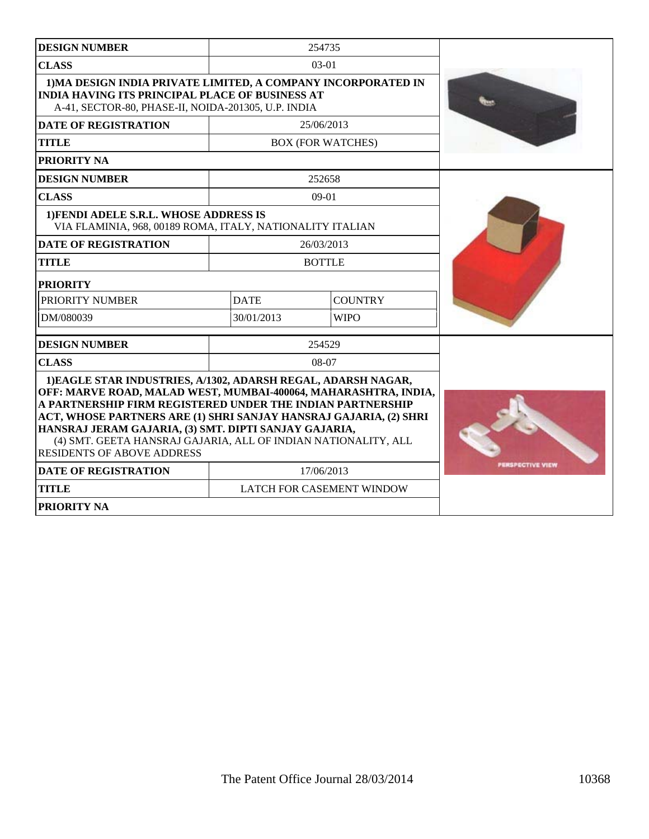| <b>DESIGN NUMBER</b>                                                                                                                                                                                                                                                                                                                                                                                                                |             | 254735                    |                |
|-------------------------------------------------------------------------------------------------------------------------------------------------------------------------------------------------------------------------------------------------------------------------------------------------------------------------------------------------------------------------------------------------------------------------------------|-------------|---------------------------|----------------|
| <b>CLASS</b>                                                                                                                                                                                                                                                                                                                                                                                                                        |             | $03-01$                   |                |
| 1) MA DESIGN INDIA PRIVATE LIMITED, A COMPANY INCORPORATED IN<br><b>INDIA HAVING ITS PRINCIPAL PLACE OF BUSINESS AT</b><br>A-41, SECTOR-80, PHASE-II, NOIDA-201305, U.P. INDIA                                                                                                                                                                                                                                                      |             |                           |                |
| <b>DATE OF REGISTRATION</b>                                                                                                                                                                                                                                                                                                                                                                                                         |             | 25/06/2013                |                |
| <b>TITLE</b>                                                                                                                                                                                                                                                                                                                                                                                                                        |             | <b>BOX (FOR WATCHES)</b>  |                |
| <b>PRIORITY NA</b>                                                                                                                                                                                                                                                                                                                                                                                                                  |             |                           |                |
| <b>DESIGN NUMBER</b>                                                                                                                                                                                                                                                                                                                                                                                                                |             | 252658                    |                |
| <b>CLASS</b>                                                                                                                                                                                                                                                                                                                                                                                                                        |             | $09-01$                   |                |
| 1) FENDI ADELE S.R.L. WHOSE ADDRESS IS<br>VIA FLAMINIA, 968, 00189 ROMA, ITALY, NATIONALITY ITALIAN                                                                                                                                                                                                                                                                                                                                 |             |                           |                |
| <b>DATE OF REGISTRATION</b>                                                                                                                                                                                                                                                                                                                                                                                                         |             | 26/03/2013                |                |
| <b>TITLE</b>                                                                                                                                                                                                                                                                                                                                                                                                                        |             | <b>BOTTLE</b>             |                |
| <b>PRIORITY</b>                                                                                                                                                                                                                                                                                                                                                                                                                     |             |                           |                |
| PRIORITY NUMBER                                                                                                                                                                                                                                                                                                                                                                                                                     | <b>DATE</b> | <b>COUNTRY</b>            |                |
| DM/080039                                                                                                                                                                                                                                                                                                                                                                                                                           | 30/01/2013  | <b>WIPO</b>               |                |
| <b>DESIGN NUMBER</b>                                                                                                                                                                                                                                                                                                                                                                                                                |             | 254529                    |                |
| <b>CLASS</b>                                                                                                                                                                                                                                                                                                                                                                                                                        |             | $08-07$                   |                |
| 1) EAGLE STAR INDUSTRIES, A/1302, ADARSH REGAL, ADARSH NAGAR,<br>OFF: MARVE ROAD, MALAD WEST, MUMBAI-400064, MAHARASHTRA, INDIA,<br>A PARTNERSHIP FIRM REGISTERED UNDER THE INDIAN PARTNERSHIP<br>ACT, WHOSE PARTNERS ARE (1) SHRI SANJAY HANSRAJ GAJARIA, (2) SHRI<br>HANSRAJ JERAM GAJARIA, (3) SMT. DIPTI SANJAY GAJARIA,<br>(4) SMT. GEETA HANSRAJ GAJARIA, ALL OF INDIAN NATIONALITY, ALL<br><b>RESIDENTS OF ABOVE ADDRESS</b> |             |                           |                |
| <b>DATE OF REGISTRATION</b>                                                                                                                                                                                                                                                                                                                                                                                                         |             | 17/06/2013                | RSPECTIVE VIEW |
| <b>TITLE</b>                                                                                                                                                                                                                                                                                                                                                                                                                        |             | LATCH FOR CASEMENT WINDOW |                |
| PRIORITY NA                                                                                                                                                                                                                                                                                                                                                                                                                         |             |                           |                |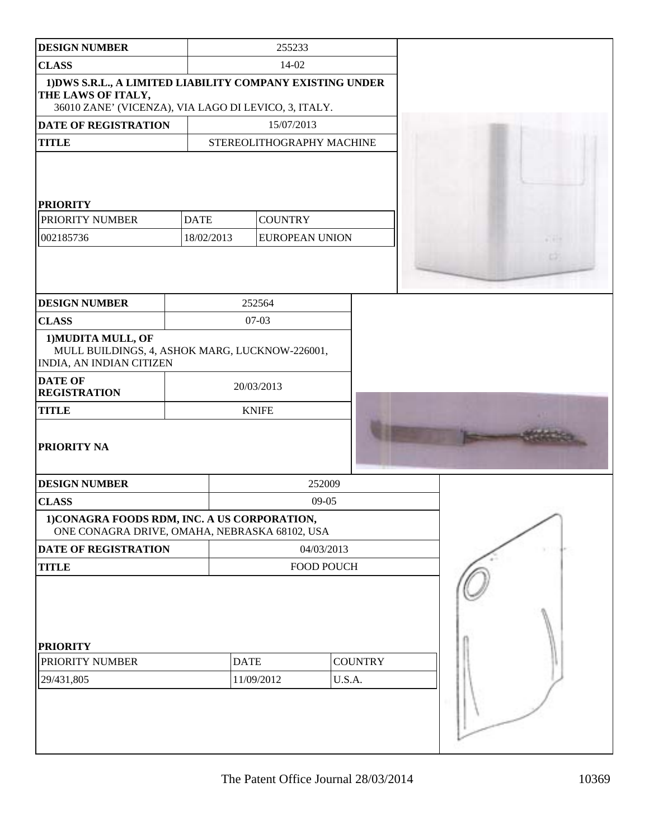| <b>DESIGN NUMBER</b>                                                                                                                    |             | 255233                    |                          |  |
|-----------------------------------------------------------------------------------------------------------------------------------------|-------------|---------------------------|--------------------------|--|
| <b>CLASS</b>                                                                                                                            |             | 14-02                     |                          |  |
| 1) DWS S.R.L., A LIMITED LIABILITY COMPANY EXISTING UNDER<br>THE LAWS OF ITALY,<br>36010 ZANE' (VICENZA), VIA LAGO DI LEVICO, 3, ITALY. |             |                           |                          |  |
| <b>DATE OF REGISTRATION</b>                                                                                                             |             | 15/07/2013                |                          |  |
| <b>TITLE</b>                                                                                                                            |             | STEREOLITHOGRAPHY MACHINE |                          |  |
| <b>PRIORITY</b>                                                                                                                         |             |                           |                          |  |
| PRIORITY NUMBER                                                                                                                         | <b>DATE</b> | <b>COUNTRY</b>            |                          |  |
| 002185736                                                                                                                               | 18/02/2013  | <b>EUROPEAN UNION</b>     |                          |  |
|                                                                                                                                         |             |                           |                          |  |
| <b>DESIGN NUMBER</b>                                                                                                                    |             | 252564                    |                          |  |
| <b>CLASS</b>                                                                                                                            |             | $07 - 03$                 |                          |  |
| 1) MUDITA MULL, OF<br>MULL BUILDINGS, 4, ASHOK MARG, LUCKNOW-226001,<br><b>INDIA, AN INDIAN CITIZEN</b>                                 |             |                           |                          |  |
| <b>DATE OF</b><br><b>REGISTRATION</b>                                                                                                   |             | 20/03/2013                |                          |  |
| <b>TITLE</b>                                                                                                                            |             | <b>KNIFE</b>              |                          |  |
| <b>PRIORITY NA</b>                                                                                                                      |             |                           |                          |  |
| <b>DESIGN NUMBER</b>                                                                                                                    |             |                           | 252009                   |  |
| <b>CLASS</b>                                                                                                                            |             | $09-05$                   |                          |  |
| 1)CONAGRA FOODS RDM, INC. A US CORPORATION,<br>ONE CONAGRA DRIVE, OMAHA, NEBRASKA 68102, USA                                            |             |                           |                          |  |
| <b>DATE OF REGISTRATION</b>                                                                                                             |             | 04/03/2013                |                          |  |
| <b>TITLE</b>                                                                                                                            |             | <b>FOOD POUCH</b>         |                          |  |
| <b>PRIORITY</b><br>PRIORITY NUMBER<br>29/431,805                                                                                        |             | <b>DATE</b><br>11/09/2012 | <b>COUNTRY</b><br>U.S.A. |  |